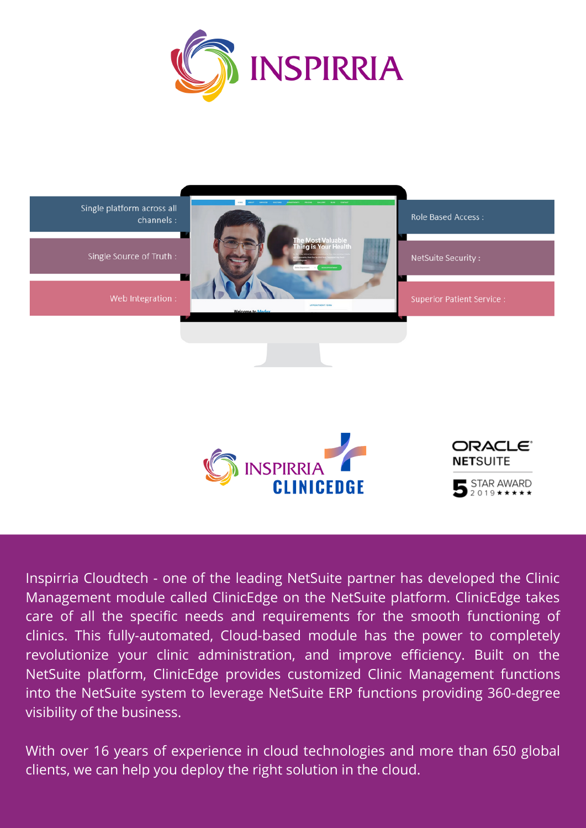



Inspirria Cloudtech - one of the leading NetSuite partner has developed the Clinic Management module called ClinicEdge on the NetSuite platform. ClinicEdge takes care of all the specific needs and requirements for the smooth functioning of clinics. This fully-automated, Cloud-based module has the power to completely revolutionize your clinic administration, and improve efficiency. Built on the NetSuite platform, ClinicEdge provides customized Clinic Management functions into the NetSuite system to leverage NetSuite ERP functions providing 360-degree visibility of the business.

With over 16 years of experience in cloud technologies and more than 650 global clients, we can help you deploy the right solution in the cloud.